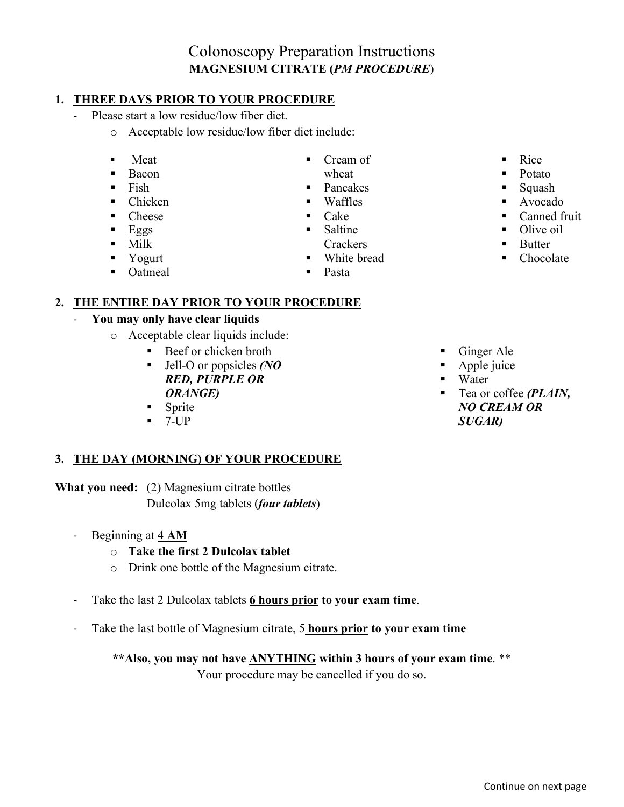# Colonoscopy Preparation Instructions **MAGNESIUM CITRATE (***PM PROCEDURE*)

#### **1. THREE DAYS PRIOR TO YOUR PROCEDURE**

- Please start a low residue/low fiber diet.
	- o Acceptable low residue/low fiber diet include:
	- **Meat**
	- **Bacon**
	- $\blacksquare$  Fish
	- $\blacksquare$  Chicken
	- Cheese
	- $Eggs$
	- $-Milk$
	- **Yogurt**
	-

wheat

Cream of

- Pancakes
- Waffles
- Cake
- **Saltine** 
	- **Crackers**
- **White bread**
- $\blacksquare$  Rice
- Potato
- Squash
- Avocado
- Canned fruit
- Olive oil
- **Butter**
- Chocolate

• Oatmeal

Pasta

### **2. THE ENTIRE DAY PRIOR TO YOUR PROCEDURE**

### - **You may only have clear liquids**

- o Acceptable clear liquids include:
	- Beef or chicken broth
	- Jell-O or popsicles *(NO RED, PURPLE OR ORANGE)*
	- Sprite
	- 7-UP

### **3. THE DAY (MORNING) OF YOUR PROCEDURE**

**What you need:** (2) Magnesium citrate bottles

Dulcolax 5mg tablets (*four tablets*)

- Beginning at **4 AM** 
	- o **Take the first 2 Dulcolax tablet**
	- o Drink one bottle of the Magnesium citrate.
- Take the last 2 Dulcolax tablets **6 hours prior to your exam time**.
- Take the last bottle of Magnesium citrate, 5 **hours prior to your exam time**

## **\*\*Also, you may not have ANYTHING within 3 hours of your exam time**. \*\*

Your procedure may be cancelled if you do so.

- Ginger Ale
- Apple juice
- Water
- Tea or coffee *(PLAIN, NO CREAM OR SUGAR)*